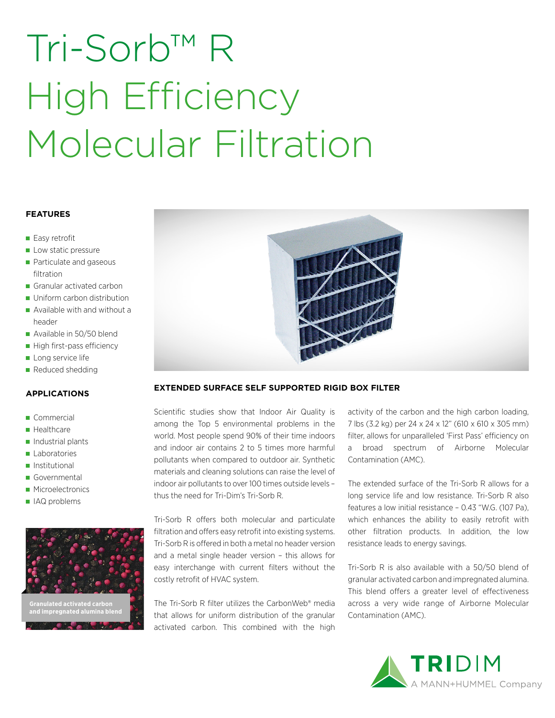# Tri-Sorb™ R High Efficiency Molecular Filtration

## **FEATURES**

- Easy retrofit
- Low static pressure
- **Particulate and gaseous** filtration
- Granular activated carbon
- Uniform carbon distribution
- Available with and without a header
- Available in 50/50 blend
- High first-pass efficiency
- Long service life
- Reduced shedding

### **APPLICATIONS**

- Commercial
- Healthcare
- $\blacksquare$  Industrial plants
- Laboratories
- **Institutional**
- Governmental
- **Microelectronics**
- IAQ problems





## **EXTENDED SURFACE SELF SUPPORTED RIGID BOX FILTER**

Scientific studies show that Indoor Air Quality is among the Top 5 environmental problems in the world. Most people spend 90% of their time indoors and indoor air contains 2 to 5 times more harmful pollutants when compared to outdoor air. Synthetic materials and cleaning solutions can raise the level of indoor air pollutants to over 100 times outside levels – thus the need for Tri-Dim's Tri-Sorb R.

Tri-Sorb R offers both molecular and particulate filtration and offers easy retrofit into existing systems. Tri-Sorb R is offered in both a metal no header version and a metal single header version – this allows for easy interchange with current filters without the costly retrofit of HVAC system.

The Tri-Sorb R filter utilizes the CarbonWeb® media that allows for uniform distribution of the granular activated carbon. This combined with the high

activity of the carbon and the high carbon loading, 7 lbs (3.2 kg) per 24 x 24 x 12" (610 x 610 x 305 mm) filter, allows for unparalleled 'First Pass' efficiency on a broad spectrum of Airborne Molecular Contamination (AMC).

The extended surface of the Tri-Sorb R allows for a long service life and low resistance. Tri-Sorb R also features a low initial resistance – 0.43 "W.G. (107 Pa), which enhances the ability to easily retrofit with other filtration products. In addition, the low resistance leads to energy savings.

Tri-Sorb R is also available with a 50/50 blend of granular activated carbon and impregnated alumina. This blend offers a greater level of effectiveness across a very wide range of Airborne Molecular Contamination (AMC).